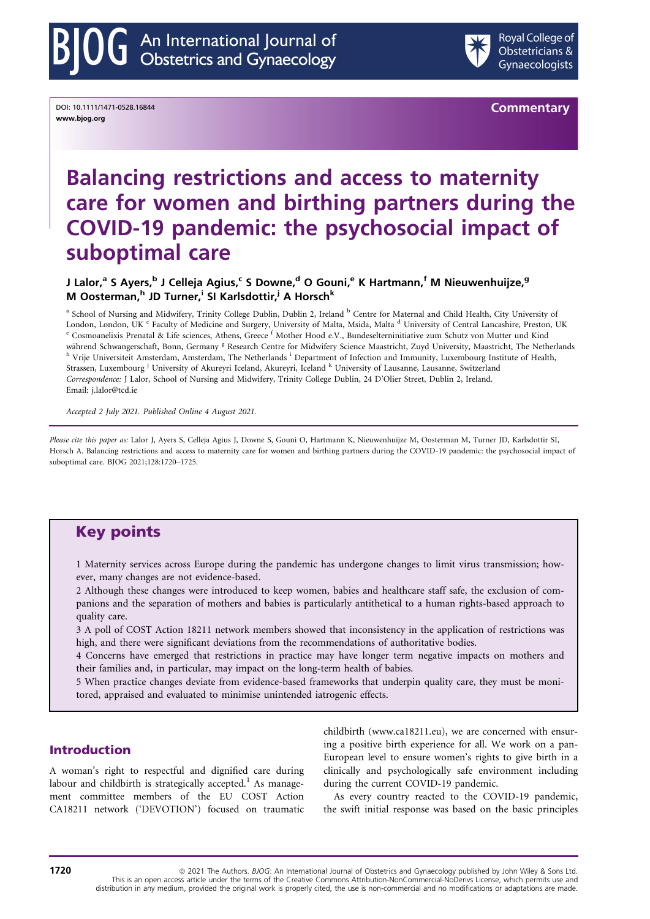

DOI: 10.1111/1471-0528.16844 www.bjog.org

**Commentary** 

# Balancing restrictions and access to maternity care for women and birthing partners during the COVID-19 pandemic: the psychosocial impact of suboptimal care

J Lalor,<sup>a</sup> S Ayers,<sup>b</sup> J Celleja Agius,<sup>c</sup> S Downe,<sup>d</sup> O Gouni,<sup>e</sup> K Hartmann,<sup>f</sup> M Nieuwenhuijze,<sup>g</sup> M Oosterman, <sup>h</sup> JD Turner, <sup>i</sup> SI Karlsdottir, <sup>j</sup> A Horsch<sup>k</sup>

<sup>a</sup> School of Nursing and Midwifery, Trinity College Dublin, Dublin 2, Ireland <sup>b</sup> Centre for Maternal and Child Health, City University of London, London, UK <sup>c</sup> Faculty of Medicine and Surgery, University of Malta, Msida, Malta <sup>d</sup> University of Central Lancashire, Preston, UK <sup>e</sup> Cosmoanelixis Prenatal & Life sciences, Athens, Greece <sup>f</sup> Mother Hood e.V., B <sup>h</sup> Vrije Universiteit Amsterdam, Amsterdam, The Netherlands <sup>i</sup> Department of Infection and Immunity, Luxembourg Institute of Health, Strassen, Luxembourg <sup>j</sup> University of Akureyri Iceland, Akureyri, Iceland <sup>k</sup> University of Lausanne, Lausanne, Switzerland Correspondence: J Lalor, School of Nursing and Midwifery, Trinity College Dublin, 24 D'Olier Street, Dublin 2, Ireland. Email: [j.lalor@tcd.ie](mailto:)

Accepted 2 July 2021. Published Online 4 August 2021.

Please cite this paper as: Lalor J, Ayers S, Celleja Agius J, Downe S, Gouni O, Hartmann K, Nieuwenhuijze M, Oosterman M, Turner JD, Karlsdottir SI, Horsch A. Balancing restrictions and access to maternity care for women and birthing partners during the COVID-19 pandemic: the psychosocial impact of suboptimal care. BJOG 2021[;128:1720](https://doi.org/10.1111/1471-0528.16844)–1725.

## Key points

1 Maternity services across Europe during the pandemic has undergone changes to limit virus transmission; however, many changes are not evidence-based.

2 Although these changes were introduced to keep women, babies and healthcare staff safe, the exclusion of companions and the separation of mothers and babies is particularly antithetical to a human rights-based approach to quality care.

3 A poll of COST Action 18211 network members showed that inconsistency in the application of restrictions was high, and there were significant deviations from the recommendations of authoritative bodies.

4 Concerns have emerged that restrictions in practice may have longer term negative impacts on mothers and their families and, in particular, may impact on the long-term health of babies.

5 When practice changes deviate from evidence-based frameworks that underpin quality care, they must be monitored, appraised and evaluated to minimise unintended iatrogenic effects.

## Introduction

A woman's right to respectful and dignified care during labour and childbirth is strategically accepted.<sup>1</sup> As management committee members of the EU COST Action CA18211 network ('DEVOTION') focused on traumatic

childbirth ([www.ca18211.eu\)](http://www.ca18211.eu), we are concerned with ensuring a positive birth experience for all. We work on a pan-European level to ensure women's rights to give birth in a clinically and psychologically safe environment including during the current COVID-19 pandemic.

As every country reacted to the COVID-19 pandemic, the swift initial response was based on the basic principles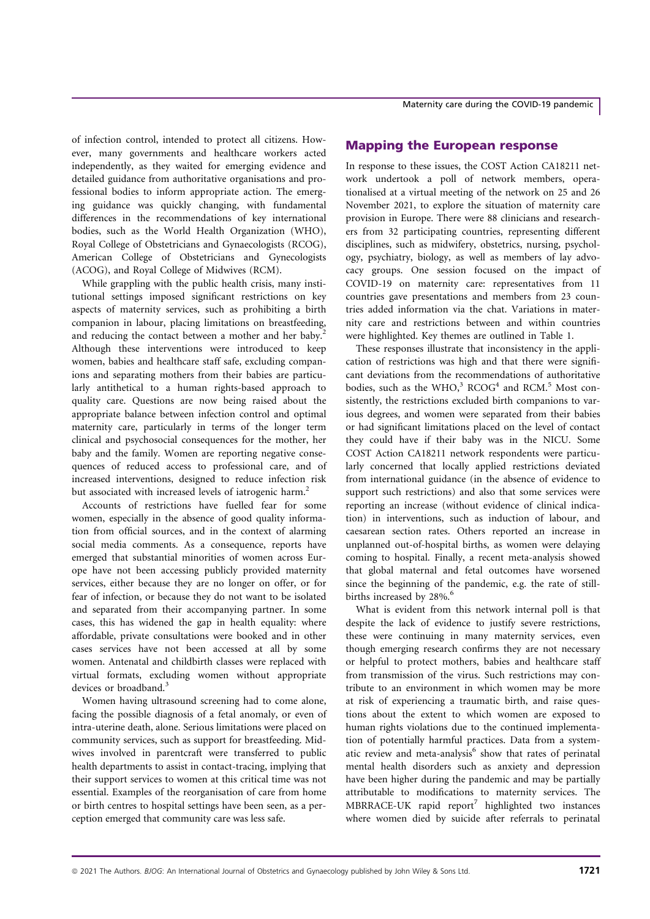of infection control, intended to protect all citizens. However, many governments and healthcare workers acted independently, as they waited for emerging evidence and detailed guidance from authoritative organisations and professional bodies to inform appropriate action. The emerging guidance was quickly changing, with fundamental differences in the recommendations of key international bodies, such as the World Health Organization (WHO), Royal College of Obstetricians and Gynaecologists (RCOG), American College of Obstetricians and Gynecologists (ACOG), and Royal College of Midwives (RCM).

While grappling with the public health crisis, many institutional settings imposed significant restrictions on key aspects of maternity services, such as prohibiting a birth companion in labour, placing limitations on breastfeeding, and reducing the contact between a mother and her baby.<sup>2</sup> Although these interventions were introduced to keep women, babies and healthcare staff safe, excluding companions and separating mothers from their babies are particularly antithetical to a human rights-based approach to quality care. Questions are now being raised about the appropriate balance between infection control and optimal maternity care, particularly in terms of the longer term clinical and psychosocial consequences for the mother, her baby and the family. Women are reporting negative consequences of reduced access to professional care, and of increased interventions, designed to reduce infection risk but associated with increased levels of iatrogenic harm.<sup>2</sup>

Accounts of restrictions have fuelled fear for some women, especially in the absence of good quality information from official sources, and in the context of alarming social media comments. As a consequence, reports have emerged that substantial minorities of women across Europe have not been accessing publicly provided maternity services, either because they are no longer on offer, or for fear of infection, or because they do not want to be isolated and separated from their accompanying partner. In some cases, this has widened the gap in health equality: where affordable, private consultations were booked and in other cases services have not been accessed at all by some women. Antenatal and childbirth classes were replaced with virtual formats, excluding women without appropriate devices or broadband.<sup>3</sup>

Women having ultrasound screening had to come alone, facing the possible diagnosis of a fetal anomaly, or even of intra-uterine death, alone. Serious limitations were placed on community services, such as support for breastfeeding. Midwives involved in parentcraft were transferred to public health departments to assist in contact-tracing, implying that their support services to women at this critical time was not essential. Examples of the reorganisation of care from home or birth centres to hospital settings have been seen, as a perception emerged that community care was less safe.

Maternity care during the COVID-19 pandemic

## Mapping the European response

In response to these issues, the COST Action CA18211 network undertook a poll of network members, operationalised at a virtual meeting of the network on 25 and 26 November 2021, to explore the situation of maternity care provision in Europe. There were 88 clinicians and researchers from 32 participating countries, representing different disciplines, such as midwifery, obstetrics, nursing, psychology, psychiatry, biology, as well as members of lay advocacy groups. One session focused on the impact of COVID-19 on maternity care: representatives from 11 countries gave presentations and members from 23 countries added information via the chat. Variations in maternity care and restrictions between and within countries were highlighted. Key themes are outlined in Table 1.

These responses illustrate that inconsistency in the application of restrictions was high and that there were significant deviations from the recommendations of authoritative bodies, such as the WHO, $3 \text{ RCOG}^4$  and RCM.<sup>5</sup> Most consistently, the restrictions excluded birth companions to various degrees, and women were separated from their babies or had significant limitations placed on the level of contact they could have if their baby was in the NICU. Some COST Action CA18211 network respondents were particularly concerned that locally applied restrictions deviated from international guidance (in the absence of evidence to support such restrictions) and also that some services were reporting an increase (without evidence of clinical indication) in interventions, such as induction of labour, and caesarean section rates. Others reported an increase in unplanned out-of-hospital births, as women were delaying coming to hospital. Finally, a recent meta-analysis showed that global maternal and fetal outcomes have worsened since the beginning of the pandemic, e.g. the rate of stillbirths increased by 28%.<sup>6</sup>

What is evident from this network internal poll is that despite the lack of evidence to justify severe restrictions, these were continuing in many maternity services, even though emerging research confirms they are not necessary or helpful to protect mothers, babies and healthcare staff from transmission of the virus. Such restrictions may contribute to an environment in which women may be more at risk of experiencing a traumatic birth, and raise questions about the extent to which women are exposed to human rights violations due to the continued implementation of potentially harmful practices. Data from a systematic review and meta-analysis<sup>6</sup> show that rates of perinatal mental health disorders such as anxiety and depression have been higher during the pandemic and may be partially attributable to modifications to maternity services. The  $MBRRACE-UK$  rapid report<sup>7</sup> highlighted two instances where women died by suicide after referrals to perinatal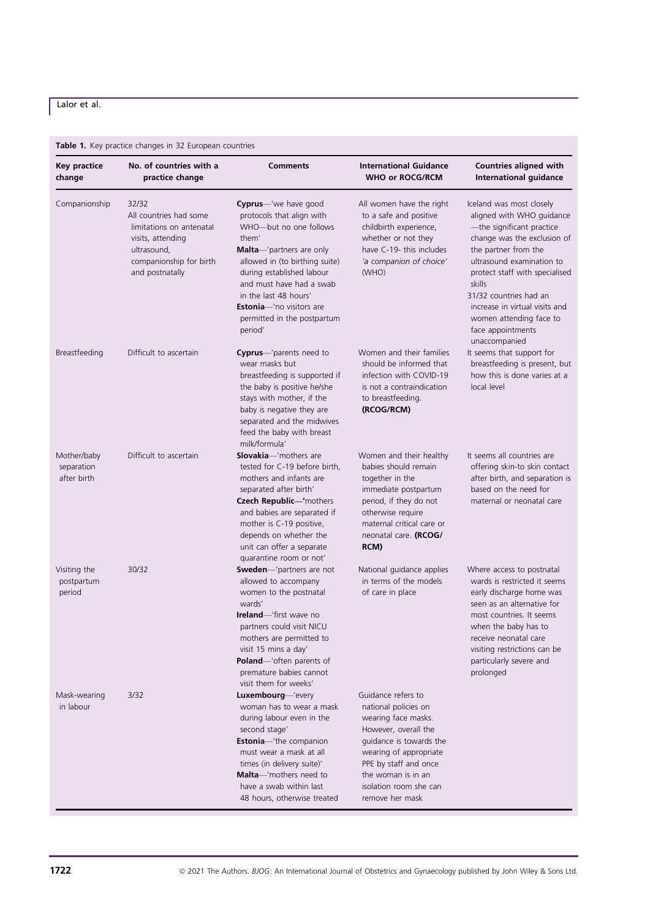## Lalor et al.

## Table 1. Key practice changes in 32 European countries

| <b>Key practice</b><br>change            | No. of countries with a<br>practice change                                                                                                    | <b>Comments</b>                                                                                                                                                                                                                                                                                                            | <b>International Guidance</b><br><b>WHO or ROCG/RCM</b>                                                                                                                                                                                    | Countries aligned with<br>International guidance                                                                                                                                                                                                                                                                                                |
|------------------------------------------|-----------------------------------------------------------------------------------------------------------------------------------------------|----------------------------------------------------------------------------------------------------------------------------------------------------------------------------------------------------------------------------------------------------------------------------------------------------------------------------|--------------------------------------------------------------------------------------------------------------------------------------------------------------------------------------------------------------------------------------------|-------------------------------------------------------------------------------------------------------------------------------------------------------------------------------------------------------------------------------------------------------------------------------------------------------------------------------------------------|
| Companionship                            | 32/32<br>All countries had some<br>limitations on antenatal<br>visits, attending<br>ultrasound,<br>companionship for birth<br>and postnatally | Cyprus-'we have good<br>protocols that align with<br>WHO-but no one follows<br>them'<br><b>Malta</b> —'partners are only<br>allowed in (to birthing suite)<br>during established labour<br>and must have had a swab<br>in the last 48 hours'<br><b>Estonia</b> —'no visitors are<br>permitted in the postpartum<br>period' | All women have the right<br>to a safe and positive<br>childbirth experience,<br>whether or not they<br>have C-19- this includes<br>'a companion of choice'<br>(WHO)                                                                        | Iceland was most closely<br>aligned with WHO guidance<br>-the significant practice<br>change was the exclusion of<br>the partner from the<br>ultrasound examination to<br>protect staff with specialised<br>skills<br>31/32 countries had an<br>increase in virtual visits and<br>women attending face to<br>face appointments<br>unaccompanied |
| Breastfeeding                            | Difficult to ascertain                                                                                                                        | <b>Cyprus</b> —'parents need to<br>wear masks but<br>breastfeeding is supported if<br>the baby is positive he/she<br>stays with mother, if the<br>baby is negative they are<br>separated and the midwives<br>feed the baby with breast<br>milk/formula'                                                                    | Women and their families<br>should be informed that<br>infection with COVID-19<br>is not a contraindication<br>to breastfeeding.<br>(RCOG/RCM)                                                                                             | It seems that support for<br>breastfeeding is present, but<br>how this is done varies at a<br>local level                                                                                                                                                                                                                                       |
| Mother/baby<br>separation<br>after birth | Difficult to ascertain                                                                                                                        | <b>Slovakia</b> —'mothers are<br>tested for C-19 before birth,<br>mothers and infants are<br>separated after birth'<br>Czech Republic-'mothers<br>and babies are separated if<br>mother is C-19 positive,<br>depends on whether the<br>unit can offer a separate<br>quarantine room or not'                                | Women and their healthy<br>babies should remain<br>together in the<br>immediate postpartum<br>period, if they do not<br>otherwise require<br>maternal critical care or<br>neonatal care. (RCOG/<br>RCM)                                    | It seems all countries are<br>offering skin-to skin contact<br>after birth, and separation is<br>based on the need for<br>maternal or neonatal care                                                                                                                                                                                             |
| Visiting the<br>postpartum<br>period     | 30/32                                                                                                                                         | Sweden-'partners are not<br>allowed to accompany<br>women to the postnatal<br>wards'<br><b>Ireland</b> —'first wave no<br>partners could visit NICU<br>mothers are permitted to<br>visit 15 mins a day'<br>Poland-'often parents of<br>premature babies cannot<br>visit them for weeks'                                    | National guidance applies<br>in terms of the models<br>of care in place                                                                                                                                                                    | Where access to postnatal<br>wards is restricted it seems<br>early discharge home was<br>seen as an alternative for<br>most countries. It seems<br>when the baby has to<br>receive neonatal care<br>visiting restrictions can be<br>particularly severe and<br>prolonged                                                                        |
| Mask-wearing<br>in labour                | 3/32                                                                                                                                          | Luxembourg-'every<br>woman has to wear a mask<br>during labour even in the<br>second stage'<br><b>Estonia</b> -'the companion<br>must wear a mask at all<br>times (in delivery suite)'<br>Malta-'mothers need to<br>have a swab within last<br>48 hours, otherwise treated                                                 | Guidance refers to<br>national policies on<br>wearing face masks.<br>However, overall the<br>quidance is towards the<br>wearing of appropriate<br>PPE by staff and once<br>the woman is in an<br>isolation room she can<br>remove her mask |                                                                                                                                                                                                                                                                                                                                                 |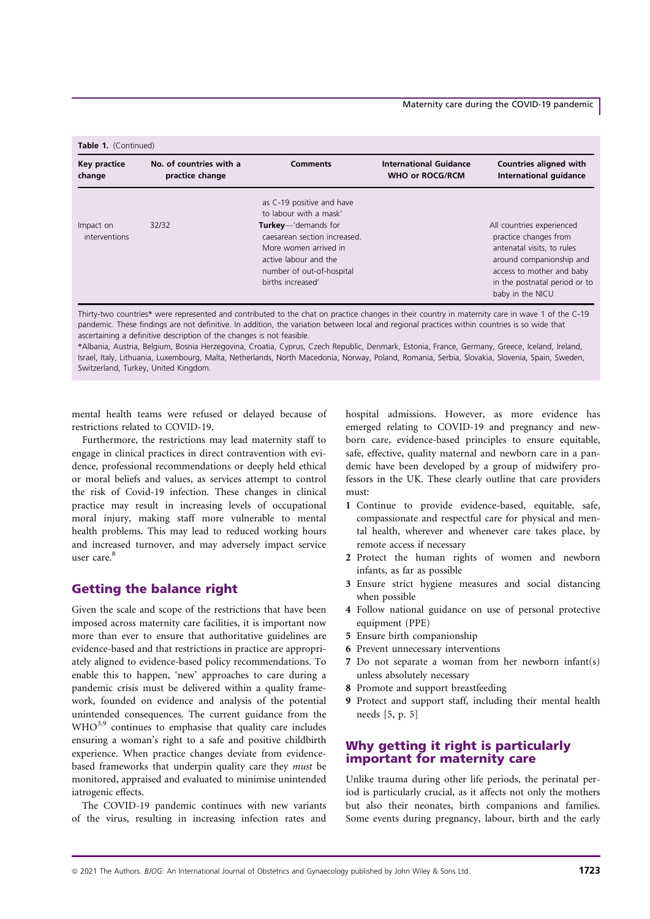#### Maternity care during the COVID-19 pandemic

| Key practice               | No. of countries with a | <b>Comments</b>                                                                                                                                                                                                        | <b>International Guidance</b> | Countries aligned with                                                                                                                                                                         |
|----------------------------|-------------------------|------------------------------------------------------------------------------------------------------------------------------------------------------------------------------------------------------------------------|-------------------------------|------------------------------------------------------------------------------------------------------------------------------------------------------------------------------------------------|
| change                     | practice change         |                                                                                                                                                                                                                        | <b>WHO or ROCG/RCM</b>        | International quidance                                                                                                                                                                         |
| Impact on<br>interventions | 32/32                   | as C-19 positive and have<br>to labour with a mask'<br><b>Turkey</b> —'demands for<br>caesarean section increased.<br>More women arrived in<br>active labour and the<br>number of out-of-hospital<br>births increased' |                               | All countries experienced<br>practice changes from<br>antenatal visits, to rules<br>around companionship and<br>access to mother and baby<br>in the postnatal period or to<br>baby in the NICU |

Thirty-two countries\* were represented and contributed to the chat on practice changes in their country in maternity care in wave 1 of the C-19 pandemic. These findings are not definitive. In addition, the variation between local and regional practices within countries is so wide that ascertaining a definitive description of the changes is not feasible.

\*Albania, Austria, Belgium, Bosnia Herzegovina, Croatia, Cyprus, Czech Republic, Denmark, Estonia, France, Germany, Greece, Iceland, Ireland, Israel, Italy, Lithuania, Luxembourg, Malta, Netherlands, North Macedonia, Norway, Poland, Romania, Serbia, Slovakia, Slovenia, Spain, Sweden, Switzerland, Turkey, United Kingdom.

mental health teams were refused or delayed because of restrictions related to COVID-19.

Furthermore, the restrictions may lead maternity staff to engage in clinical practices in direct contravention with evidence, professional recommendations or deeply held ethical or moral beliefs and values, as services attempt to control the risk of Covid-19 infection. These changes in clinical practice may result in increasing levels of occupational moral injury, making staff more vulnerable to mental health problems. This may lead to reduced working hours and increased turnover, and may adversely impact service user care.<sup>8</sup>

## Getting the balance right

Given the scale and scope of the restrictions that have been imposed across maternity care facilities, it is important now more than ever to ensure that authoritative guidelines are evidence-based and that restrictions in practice are appropriately aligned to evidence-based policy recommendations. To enable this to happen, 'new' approaches to care during a pandemic crisis must be delivered within a quality framework, founded on evidence and analysis of the potential unintended consequences. The current guidance from the WHO<sup>3,9</sup> continues to emphasise that quality care includes ensuring a woman's right to a safe and positive childbirth experience. When practice changes deviate from evidencebased frameworks that underpin quality care they must be monitored, appraised and evaluated to minimise unintended iatrogenic effects.

The COVID-19 pandemic continues with new variants of the virus, resulting in increasing infection rates and hospital admissions. However, as more evidence has emerged relating to COVID-19 and pregnancy and newborn care, evidence-based principles to ensure equitable, safe, effective, quality maternal and newborn care in a pandemic have been developed by a group of midwifery professors in the UK. These clearly outline that care providers must:

- 1 Continue to provide evidence-based, equitable, safe, compassionate and respectful care for physical and mental health, wherever and whenever care takes place, by remote access if necessary
- 2 Protect the human rights of women and newborn infants, as far as possible
- 3 Ensure strict hygiene measures and social distancing when possible
- 4 Follow national guidance on use of personal protective equipment (PPE)
- 5 Ensure birth companionship
- 6 Prevent unnecessary interventions
- 7 Do not separate a woman from her newborn infant(s) unless absolutely necessary
- 8 Promote and support breastfeeding
- 9 Protect and support staff, including their mental health needs [5, p. 5]

## Why getting it right is particularly important for maternity care

Unlike trauma during other life periods, the perinatal period is particularly crucial, as it affects not only the mothers but also their neonates, birth companions and families. Some events during pregnancy, labour, birth and the early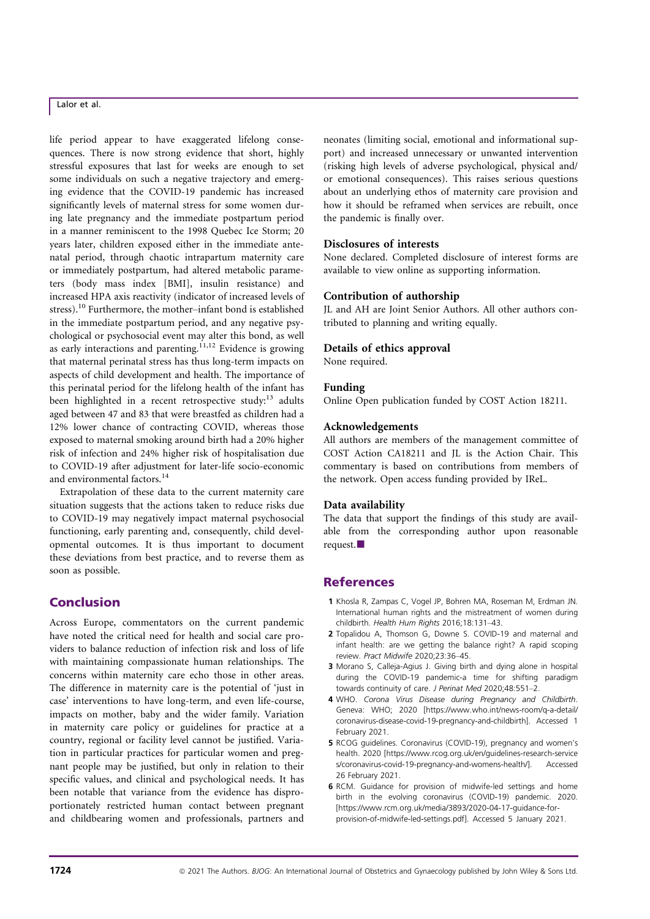## Lalor et al.

life period appear to have exaggerated lifelong consequences. There is now strong evidence that short, highly stressful exposures that last for weeks are enough to set some individuals on such a negative trajectory and emerging evidence that the COVID-19 pandemic has increased significantly levels of maternal stress for some women during late pregnancy and the immediate postpartum period in a manner reminiscent to the 1998 Quebec Ice Storm; 20 years later, children exposed either in the immediate antenatal period, through chaotic intrapartum maternity care or immediately postpartum, had altered metabolic parameters (body mass index [BMI], insulin resistance) and increased HPA axis reactivity (indicator of increased levels of stress).<sup>10</sup> Furthermore, the mother–infant bond is established in the immediate postpartum period, and any negative psychological or psychosocial event may alter this bond, as well as early interactions and parenting.<sup>11,12</sup> Evidence is growing that maternal perinatal stress has thus long-term impacts on aspects of child development and health. The importance of this perinatal period for the lifelong health of the infant has been highlighted in a recent retrospective study: $13$  adults aged between 47 and 83 that were breastfed as children had a 12% lower chance of contracting COVID, whereas those exposed to maternal smoking around birth had a 20% higher risk of infection and 24% higher risk of hospitalisation due to COVID-19 after adjustment for later-life socio-economic and environmental factors.<sup>14</sup>

Extrapolation of these data to the current maternity care situation suggests that the actions taken to reduce risks due to COVID-19 may negatively impact maternal psychosocial functioning, early parenting and, consequently, child developmental outcomes. It is thus important to document these deviations from best practice, and to reverse them as soon as possible.

## Conclusion

Across Europe, commentators on the current pandemic have noted the critical need for health and social care providers to balance reduction of infection risk and loss of life with maintaining compassionate human relationships. The concerns within maternity care echo those in other areas. The difference in maternity care is the potential of 'just in case' interventions to have long-term, and even life-course, impacts on mother, baby and the wider family. Variation in maternity care policy or guidelines for practice at a country, regional or facility level cannot be justified. Variation in particular practices for particular women and pregnant people may be justified, but only in relation to their specific values, and clinical and psychological needs. It has been notable that variance from the evidence has disproportionately restricted human contact between pregnant and childbearing women and professionals, partners and

neonates (limiting social, emotional and informational support) and increased unnecessary or unwanted intervention (risking high levels of adverse psychological, physical and/ or emotional consequences). This raises serious questions about an underlying ethos of maternity care provision and how it should be reframed when services are rebuilt, once the pandemic is finally over.

#### Disclosures of interests

None declared. Completed disclosure of interest forms are available to view online as supporting information.

#### Contribution of authorship

JL and AH are Joint Senior Authors. All other authors contributed to planning and writing equally.

#### Details of ethics approval

None required.

#### Funding

Online Open publication funded by COST Action 18211.

#### Acknowledgements

All authors are members of the management committee of COST Action CA18211 and JL is the Action Chair. This commentary is based on contributions from members of the network. Open access funding provided by IReL.

#### Data availability

The data that support the findings of this study are available from the corresponding author upon reasonable request.

## **References**

- 1 Khosla R, Zampas C, Vogel JP, Bohren MA, Roseman M, Erdman JN. International human rights and the mistreatment of women during childbirth. Health Hum Rights 2016;18:131–43.
- 2 Topalidou A, Thomson G, Downe S. COVID-19 and maternal and infant health: are we getting the balance right? A rapid scoping review. Pract Midwife 2020;23:36–45.
- 3 Morano S, Calleja-Agius J. Giving birth and dying alone in hospital during the COVID-19 pandemic-a time for shifting paradigm towards continuity of care. J Perinat Med 2020;48:551–2.
- 4 WHO. Corona Virus Disease during Pregnancy and Childbirth. Geneva: WHO; 2020 [\[https://www.who.int/news-room/q-a-detail/](https://www.who.int/news-room/q-a-detail/coronavirus-disease-covid-19-pregnancy-and-childbirth) [coronavirus-disease-covid-19-pregnancy-and-childbirth\]](https://www.who.int/news-room/q-a-detail/coronavirus-disease-covid-19-pregnancy-and-childbirth). Accessed 1 February 2021.
- 5 RCOG guidelines. Coronavirus (COVID-19), pregnancy and women's health. 2020 [[https://www.rcog.org.uk/en/guidelines-research-service](https://www.rcog.org.uk/en/guidelines-research-services/coronavirus-covid-19-pregnancy-and-womens-health/) [s/coronavirus-covid-19-pregnancy-and-womens-health/](https://www.rcog.org.uk/en/guidelines-research-services/coronavirus-covid-19-pregnancy-and-womens-health/)]. Accessed 26 February 2021.
- 6 RCM. Guidance for provision of midwife-led settings and home birth in the evolving coronavirus (COVID-19) pandemic. 2020. [\[https://www.rcm.org.uk/media/3893/2020-04-17-guidance-for](http://www.rcm.org.uk/media/3893/2020-04-17-guidance-for-provision-of-midwife-led-settings.pdf)[provision-of-midwife-led-settings.pdf\]](http://www.rcm.org.uk/media/3893/2020-04-17-guidance-for-provision-of-midwife-led-settings.pdf). Accessed 5 January 2021.